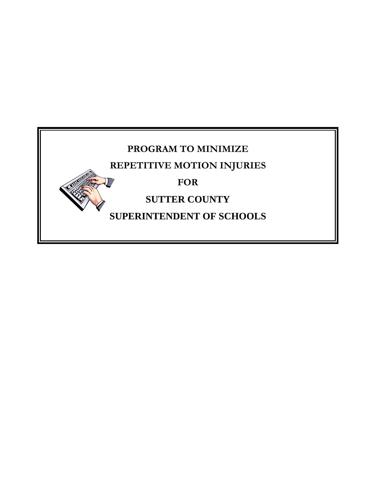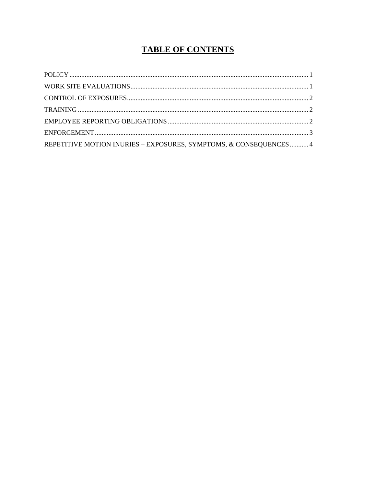# **TABLE OF CONTENTS**

| REPETITIVE MOTION INURIES - EXPOSURES, SYMPTOMS, & CONSEQUENCES 4 |  |
|-------------------------------------------------------------------|--|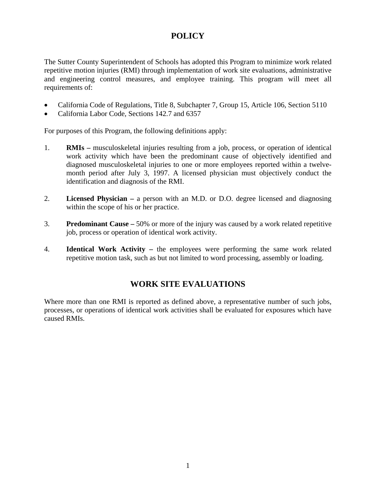## **POLICY**

The Sutter County Superintendent of Schools has adopted this Program to minimize work related repetitive motion injuries (RMI) through implementation of work site evaluations, administrative and engineering control measures, and employee training. This program will meet all requirements of:

- California Code of Regulations, Title 8, Subchapter 7, Group 15, Article 106, Section 5110
- California Labor Code, Sections 142.7 and 6357

For purposes of this Program, the following definitions apply:

- 1. **RMIs –** musculoskeletal injuries resulting from a job, process, or operation of identical work activity which have been the predominant cause of objectively identified and diagnosed musculoskeletal injuries to one or more employees reported within a twelvemonth period after July 3, 1997. A licensed physician must objectively conduct the identification and diagnosis of the RMI.
- 2. **Licensed Physician –** a person with an M.D. or D.O. degree licensed and diagnosing within the scope of his or her practice.
- 3. **Predominant Cause –** 50% or more of the injury was caused by a work related repetitive job, process or operation of identical work activity.
- 4. **Identical Work Activity –** the employees were performing the same work related repetitive motion task, such as but not limited to word processing, assembly or loading.

## **WORK SITE EVALUATIONS**

Where more than one RMI is reported as defined above, a representative number of such jobs, processes, or operations of identical work activities shall be evaluated for exposures which have caused RMIs.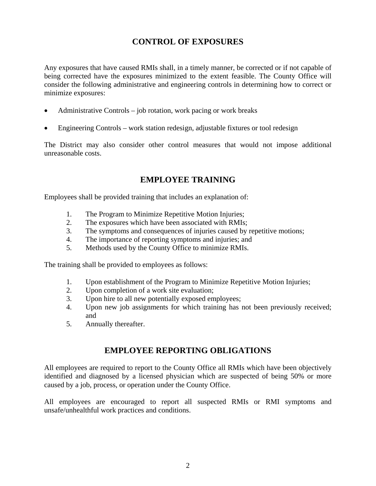## **CONTROL OF EXPOSURES**

Any exposures that have caused RMIs shall, in a timely manner, be corrected or if not capable of being corrected have the exposures minimized to the extent feasible. The County Office will consider the following administrative and engineering controls in determining how to correct or minimize exposures:

- Administrative Controls job rotation, work pacing or work breaks
- Engineering Controls work station redesign, adjustable fixtures or tool redesign

The District may also consider other control measures that would not impose additional unreasonable costs.

## **EMPLOYEE TRAINING**

Employees shall be provided training that includes an explanation of:

- 1. The Program to Minimize Repetitive Motion Injuries;
- 2. The exposures which have been associated with RMIs;
- 3. The symptoms and consequences of injuries caused by repetitive motions;
- 4. The importance of reporting symptoms and injuries; and
- 5. Methods used by the County Office to minimize RMIs.

The training shall be provided to employees as follows:

- 1. Upon establishment of the Program to Minimize Repetitive Motion Injuries;
- 2. Upon completion of a work site evaluation;
- 3. Upon hire to all new potentially exposed employees;
- 4. Upon new job assignments for which training has not been previously received; and
- 5. Annually thereafter.

## **EMPLOYEE REPORTING OBLIGATIONS**

All employees are required to report to the County Office all RMIs which have been objectively identified and diagnosed by a licensed physician which are suspected of being 50% or more caused by a job, process, or operation under the County Office.

All employees are encouraged to report all suspected RMIs or RMI symptoms and unsafe/unhealthful work practices and conditions.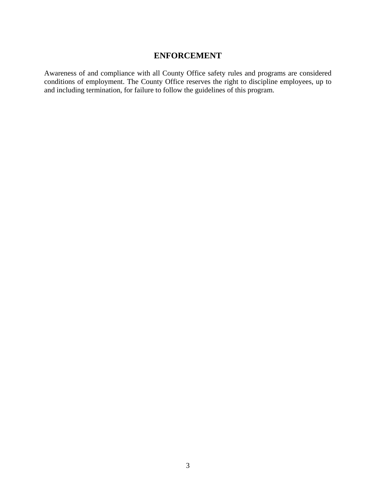## **ENFORCEMENT**

Awareness of and compliance with all County Office safety rules and programs are considered conditions of employment. The County Office reserves the right to discipline employees, up to and including termination, for failure to follow the guidelines of this program.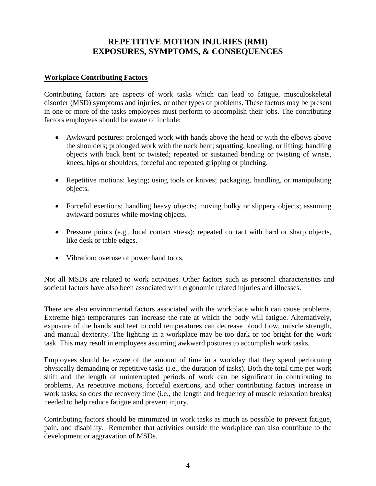## **REPETITIVE MOTION INJURIES (RMI) EXPOSURES, SYMPTOMS, & CONSEQUENCES**

### **Workplace Contributing Factors**

Contributing factors are aspects of work tasks which can lead to fatigue, musculoskeletal disorder (MSD) symptoms and injuries, or other types of problems. These factors may be present in one or more of the tasks employees must perform to accomplish their jobs. The contributing factors employees should be aware of include:

- Awkward postures: prolonged work with hands above the head or with the elbows above the shoulders; prolonged work with the neck bent; squatting, kneeling, or lifting; handling objects with back bent or twisted; repeated or sustained bending or twisting of wrists, knees, hips or shoulders; forceful and repeated gripping or pinching.
- Repetitive motions: keying; using tools or knives; packaging, handling, or manipulating objects.
- Forceful exertions; handling heavy objects; moving bulky or slippery objects; assuming awkward postures while moving objects.
- Pressure points (e.g., local contact stress): repeated contact with hard or sharp objects, like desk or table edges.
- Vibration: overuse of power hand tools.

Not all MSDs are related to work activities. Other factors such as personal characteristics and societal factors have also been associated with ergonomic related injuries and illnesses.

There are also environmental factors associated with the workplace which can cause problems. Extreme high temperatures can increase the rate at which the body will fatigue. Alternatively, exposure of the hands and feet to cold temperatures can decrease blood flow, muscle strength, and manual dexterity. The lighting in a workplace may be too dark or too bright for the work task. This may result in employees assuming awkward postures to accomplish work tasks.

Employees should be aware of the amount of time in a workday that they spend performing physically demanding or repetitive tasks (i.e., the duration of tasks). Both the total time per work shift and the length of uninterrupted periods of work can be significant in contributing to problems. As repetitive motions, forceful exertions, and other contributing factors increase in work tasks, so does the recovery time (i.e., the length and frequency of muscle relaxation breaks) needed to help reduce fatigue and prevent injury.

Contributing factors should be minimized in work tasks as much as possible to prevent fatigue, pain, and disability. Remember that activities outside the workplace can also contribute to the development or aggravation of MSDs.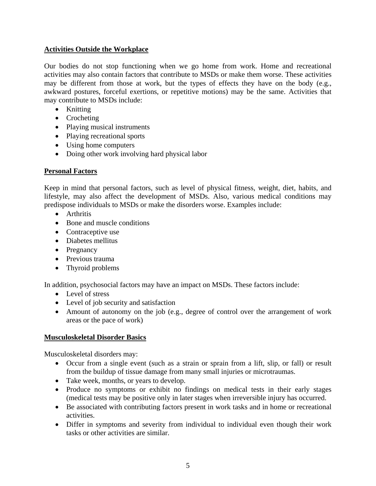### **Activities Outside the Workplace**

Our bodies do not stop functioning when we go home from work. Home and recreational activities may also contain factors that contribute to MSDs or make them worse. These activities may be different from those at work, but the types of effects they have on the body (e.g., awkward postures, forceful exertions, or repetitive motions) may be the same. Activities that may contribute to MSDs include:

- Knitting
- Crocheting
- Playing musical instruments
- Playing recreational sports
- Using home computers
- Doing other work involving hard physical labor

### **Personal Factors**

Keep in mind that personal factors, such as level of physical fitness, weight, diet, habits, and lifestyle, may also affect the development of MSDs. Also, various medical conditions may predispose individuals to MSDs or make the disorders worse. Examples include:

- Arthritis
- Bone and muscle conditions
- Contraceptive use
- Diabetes mellitus
- Pregnancy
- Previous trauma
- Thyroid problems

In addition, psychosocial factors may have an impact on MSDs. These factors include:

- Level of stress
- Level of job security and satisfaction
- Amount of autonomy on the job (e.g., degree of control over the arrangement of work areas or the pace of work)

### **Musculoskeletal Disorder Basics**

Musculoskeletal disorders may:

- Occur from a single event (such as a strain or sprain from a lift, slip, or fall) or result from the buildup of tissue damage from many small injuries or microtraumas.
- Take week, months, or years to develop.
- Produce no symptoms or exhibit no findings on medical tests in their early stages (medical tests may be positive only in later stages when irreversible injury has occurred.
- Be associated with contributing factors present in work tasks and in home or recreational activities.
- Differ in symptoms and severity from individual to individual even though their work tasks or other activities are similar.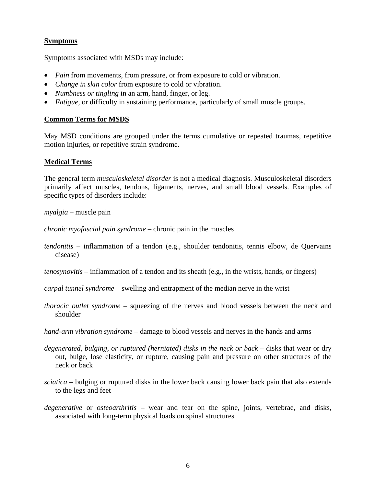### **Symptoms**

Symptoms associated with MSDs may include:

- *Pain* from movements, from pressure, or from exposure to cold or vibration.
- *Change in skin color* from exposure to cold or vibration.
- *Numbness or tingling* in an arm, hand, finger, or leg.
- *Fatigue,* or difficulty in sustaining performance, particularly of small muscle groups.

#### **Common Terms for MSDS**

May MSD conditions are grouped under the terms cumulative or repeated traumas, repetitive motion injuries, or repetitive strain syndrome.

#### **Medical Terms**

The general term *musculoskeletal disorder* is not a medical diagnosis. Musculoskeletal disorders primarily affect muscles, tendons, ligaments, nerves, and small blood vessels. Examples of specific types of disorders include:

*myalgia* – muscle pain

*chronic myofascial pain syndrome* – chronic pain in the muscles

- *tendonitis* inflammation of a tendon (e.g., shoulder tendonitis, tennis elbow, de Quervains disease)
- *tenosynovitis*  inflammation of a tendon and its sheath (e.g., in the wrists, hands, or fingers)

*carpal tunnel syndrome* – swelling and entrapment of the median nerve in the wrist

*thoracic outlet syndrome* – squeezing of the nerves and blood vessels between the neck and shoulder

*hand-arm vibration syndrome* – damage to blood vessels and nerves in the hands and arms

- *degenerated, bulging, or ruptured (herniated) disks in the neck or back* disks that wear or dry out, bulge, lose elasticity, or rupture, causing pain and pressure on other structures of the neck or back
- *sciatica* bulging or ruptured disks in the lower back causing lower back pain that also extends to the legs and feet
- *degenerative* or *osteoarthritis* wear and tear on the spine, joints, vertebrae, and disks, associated with long-term physical loads on spinal structures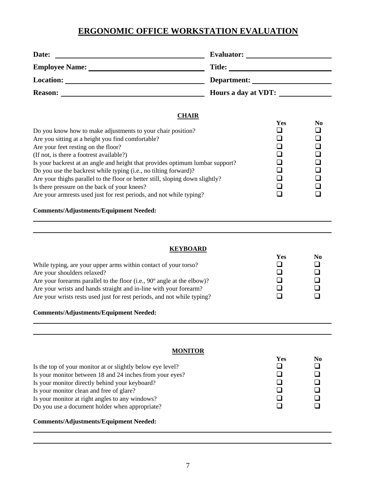# **ERGONOMIC OFFICE WORKSTATION EVALUATION**

| Date:                 | <b>Evaluator:</b>   |
|-----------------------|---------------------|
| <b>Employee Name:</b> | <b>Title:</b>       |
| <b>Location:</b>      | Department:         |
| <b>Reason:</b>        | Hours a day at VDT: |

#### **CHAIR**

|                                                                               | Yes | N <sub>0</sub> |
|-------------------------------------------------------------------------------|-----|----------------|
| Do you know how to make adjustments to your chair position?                   |     |                |
| Are you sitting at a height you find comfortable?                             |     |                |
| Are your feet resting on the floor?                                           |     |                |
| (If not, is there a footrest available?)                                      |     |                |
| Is your backrest at an angle and height that provides optimum lumbar support? |     |                |
| Do you use the backrest while typing (i.e., no tilting forward)?              |     |                |
| Are your thighs parallel to the floor or better still, sloping down slightly? |     |                |
| Is there pressure on the back of your knees?                                  |     |                |
| Are your armnests used just for rest periods, and not while typing?           |     |                |

#### **Comments/Adjustments/Equipment Needed:**

#### **KEYBOARD**

|                                                                         | Yes | No |
|-------------------------------------------------------------------------|-----|----|
| While typing, are your upper arms within contact of your torso?         |     |    |
| Are your shoulders relaxed?                                             |     |    |
| Are your forearms parallel to the floor (i.e., 90° angle at the elbow)? |     |    |
| Are your wrists and hands straight and in-line with your forearm?       |     |    |
| Are your wrists rests used just for rest periods, and not while typing? |     |    |

### **Comments/Adjustments/Equipment Needed:**

| <b>MONITOR</b>                                                                                                                                                                                                                                                                                                            |            |                |
|---------------------------------------------------------------------------------------------------------------------------------------------------------------------------------------------------------------------------------------------------------------------------------------------------------------------------|------------|----------------|
| Is the top of your monitor at or slightly below eye level?<br>Is your monitor between 18 and 24 inches from your eyes?<br>Is your monitor directly behind your keyboard?<br>Is your monitor clean and free of glare?<br>Is your monitor at right angles to any windows?<br>Do you use a document holder when appropriate? | <b>Yes</b> | N <sub>0</sub> |
| <b>Comments/Adjustments/Equipment Needed:</b>                                                                                                                                                                                                                                                                             |            |                |